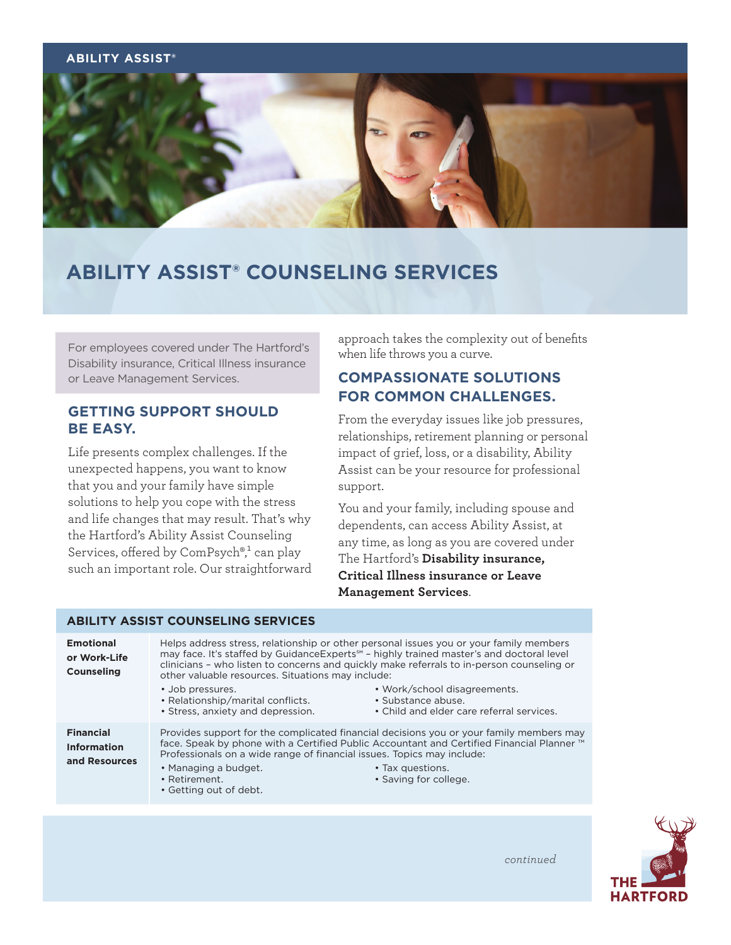### **ABILITY ASSIST®**



# **ABILITY ASSIST® COUNSELING SERVICES**

For employees covered under The Hartford's Disability insurance, Critical Illness insurance or Leave Management Services.

# **GETTING SUPPORT SHOULD BE EASY.**

Life presents complex challenges. If the unexpected happens, you want to know that you and your family have simple solutions to help you cope with the stress and life changes that may result. That's why the Hartford's Ability Assist Counseling Services, offered by  $ComPsych$ <sup>®,1</sup> can play such an important role. Our straightforward approach takes the complexity out of benefits when life throws you a curve.

# **COMPASSIONATE SOLUTIONS FOR COMMON CHALLENGES.**

From the everyday issues like job pressures, relationships, retirement planning or personal impact of grief, loss, or a disability, Ability Assist can be your resource for professional support.

You and your family, including spouse and dependents, can access Ability Assist, at any time, as long as you are covered under The Hartford's **Disability insurance, Critical Illness insurance or Leave Management Services**.

### **ABILITY ASSIST COUNSELING SERVICES**

| <b>Emotional</b><br>or Work-Life<br><b>Counseling</b>   | other valuable resources. Situations may include:<br>• Job pressures.<br>• Relationship/marital conflicts.<br>• Stress, anxiety and depression. | Helps address stress, relationship or other personal issues you or your family members<br>may face. It's staffed by GuidanceExperts <sup>5M</sup> - highly trained master's and doctoral level<br>clinicians - who listen to concerns and quickly make referrals to in-person counseling or<br>• Work/school disagreements.<br>• Substance abuse.<br>• Child and elder care referral services. |
|---------------------------------------------------------|-------------------------------------------------------------------------------------------------------------------------------------------------|------------------------------------------------------------------------------------------------------------------------------------------------------------------------------------------------------------------------------------------------------------------------------------------------------------------------------------------------------------------------------------------------|
| <b>Financial</b><br><b>Information</b><br>and Resources | Professionals on a wide range of financial issues. Topics may include:<br>• Managing a budget.<br>• Retirement.<br>• Getting out of debt.       | Provides support for the complicated financial decisions you or your family members may<br>face. Speak by phone with a Certified Public Accountant and Certified Financial Planner™<br>• Tax questions.<br>• Saving for college.                                                                                                                                                               |



*continued*